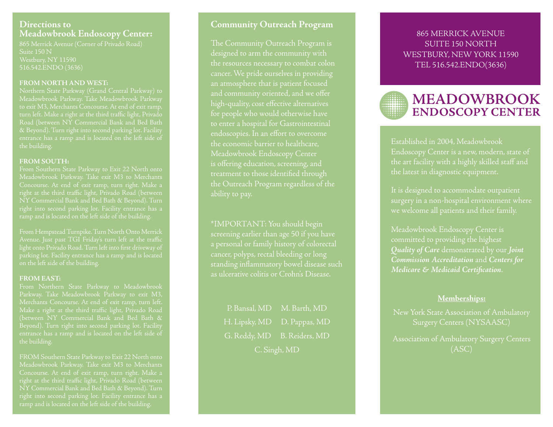## **Directions toMeadowbrook Endoscopy Center:**

865 Merrick Avenue (Corner of Privado Road) Suite 150 N516.542.ENDO (3636)

#### **FROM NORTH AND WEST:**

to exit M3, Merchants Concourse. At end of exit ramp, turn left. Make a right at the third traffic light, Privado

#### **FROM SOUTH:**

Meadowbrook Parkway. Take exit M3 to Merchants NY Commercial Bank and Bed Bath & Beyond). Turn right into second parking lot. Facility entrance has a ramp and is located on the left side of the building.

From Hempstead Turnpike. Turn North Onto Merrick light onto Privado Road. Turn left into first driveway of on the left side of the building.

#### **FROM EAST:**

(between NY Commercial Bank and Bed Bath & Beyond). Turn right into second parking lot. Facility

FROM Southern State Parkway to Exit 22 North onto Meadowbrook Parkway. Take exit M3 to Merchants right into second parking lot. Facility entrance has a ramp and is located on the left side of the building.

# **Community Outreach Program**

The Community Outreach Program is designed to arm the community with the resources necessary to combat colon cancer. We pride ourselves in providing an atmosphere that is patient focused and community oriented, and we offer high-quality, cost effective alternatives for people who would otherwise have to enter a hospital for Gastrointestinal endoscopies. In an effort to overcome the economic barrier to healthcare, Meadowbrook Endoscopy Center treatment to those identified through the Outreach Program regardless of the ability to pay.

\*IMPORTANT: You should begin a personal or family history of colorectal as ulcerative colitis or Crohn's Disease.

P. Bansal, MD M. Barth, MD H. Lipsky, MD D. Pappas, MD G. Reddy, MD B. Reiders, MD C. Singh, MD

# 865 MERRICK AVENUESUITE 150 NORTHWESTBURY, NEW YORK 11590 TEL 516.542.ENDO(3636)

# **MEADOWBROOK ENDOSCOPY CENTER**

Established in 2004, Meadowbrook Endoscopy Center is a new, modern, state of the art facility with a highly skilled staff and the latest in diagnostic equipment.

It is designed to accommodate outpatient we welcome all patients and their family.

committed to providing the highest *Quality of Care* demonstrated by our *Joint Commission Accreditation* and *Centers for Medicare & Medicaid Certification.* 

#### **Memberships:**

New York State Association of Ambulatory Surgery Centers (NYSAASC)

Association of Ambulatory Surgery Centers (ASC)